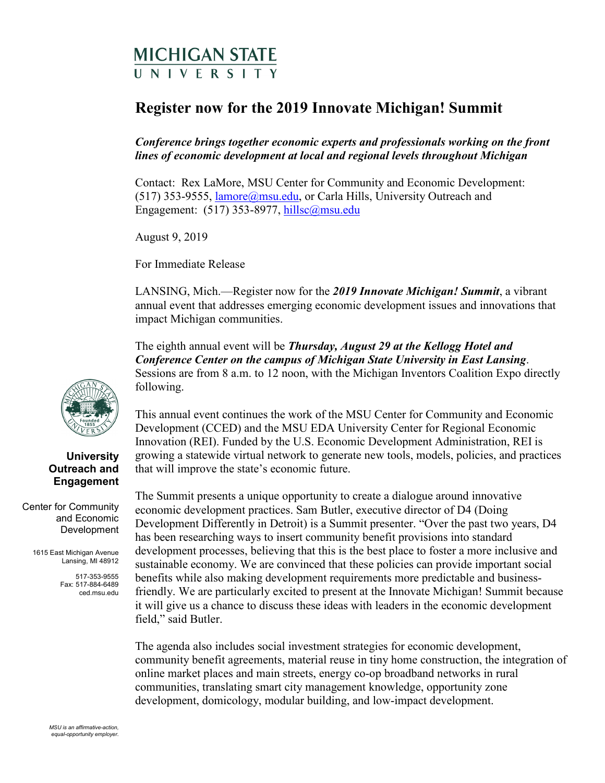## MICHIGAN STATE UNIVERSITY

## **Register now for the 2019 Innovate Michigan! Summit**

*Conference brings together economic experts and professionals working on the front lines of economic development at local and regional levels throughout Michigan* 

Contact: Rex LaMore, MSU Center for Community and Economic Development:  $(517)$  353-9555, lamore@msu.edu, or Carla Hills, University Outreach and Engagement: (517) 353-8977, hillsc@msu.edu

August 9, 2019

For Immediate Release

LANSING, Mich.—Register now for the *2019 Innovate Michigan! Summit*, a vibrant annual event that addresses emerging economic development issues and innovations that impact Michigan communities.

 The eighth annual event will be *Thursday, August 29 at the Kellogg Hotel and Conference Center on the campus of Michigan State University in East Lansing*. Sessions are from 8 a.m. to 12 noon, with the Michigan Inventors Coalition Expo directly following.

This annual event continues the work of the MSU Center for Community and Economic Development (CCED) and the MSU EDA University Center for Regional Economic Innovation (REI). Funded by the U.S. Economic Development Administration, REI is growing a statewide virtual network to generate new tools, models, policies, and practices that will improve the state's economic future.

 economic development practices. Sam Butler, executive director of D4 (Doing Development Differently in Detroit) is a Summit presenter. "Over the past two years, D4 The Summit presents a unique opportunity to create a dialogue around innovative has been researching ways to insert community benefit provisions into standard development processes, believing that this is the best place to foster a more inclusive and sustainable economy. We are convinced that these policies can provide important social benefits while also making development requirements more predictable and businessfriendly. We are particularly excited to present at the Innovate Michigan! Summit because it will give us a chance to discuss these ideas with leaders in the economic development field," said Butler.

The agenda also includes social investment strategies for economic development, community benefit agreements, material reuse in tiny home construction, the integration of online market places and main streets, energy co-op broadband networks in rural communities, translating smart city management knowledge, opportunity zone development, domicology, modular building, and low-impact development.



## **University Outreach and Engagement**

Center for Community and Economic Development

> 1615 East Michigan Avenue Lansing, MI 48912

> > 517-353-9555 Fax: 517-884-6489 [ced.msu.edu](https://ced.msu.edu)